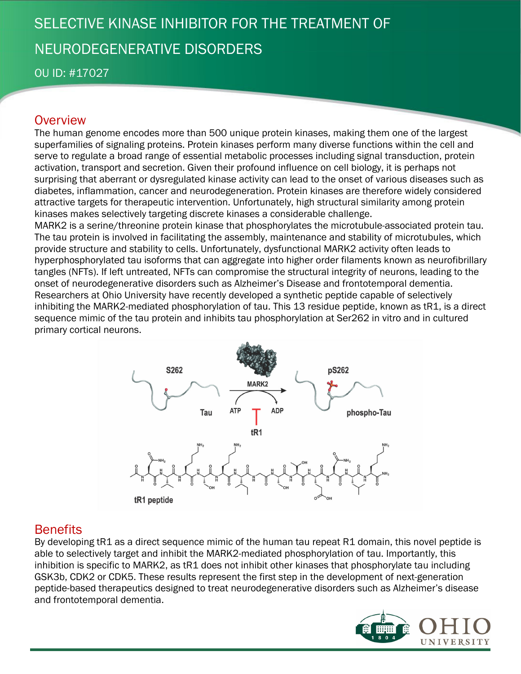# SELECTIVE KINASE INHIBITOR FOR THE TREATMENT OF NEURODEGENERATIVE DISORDERS

OU ID: #17027

## **Overview**

The human genome encodes more than 500 unique protein kinases, making them one of the largest superfamilies of signaling proteins. Protein kinases perform many diverse functions within the cell and serve to regulate a broad range of essential metabolic processes including signal transduction, protein activation, transport and secretion. Given their profound influence on cell biology, it is perhaps not surprising that aberrant or dysregulated kinase activity can lead to the onset of various diseases such as diabetes, inflammation, cancer and neurodegeneration. Protein kinases are therefore widely considered attractive targets for therapeutic intervention. Unfortunately, high structural similarity among protein kinases makes selectively targeting discrete kinases a considerable challenge.

MARK2 is a serine/threonine protein kinase that phosphorylates the microtubule-associated protein tau. The tau protein is involved in facilitating the assembly, maintenance and stability of microtubules, which provide structure and stability to cells. Unfortunately, dysfunctional MARK2 activity often leads to hyperphosphorylated tau isoforms that can aggregate into higher order filaments known as neurofibrillary tangles (NFTs). If left untreated, NFTs can compromise the structural integrity of neurons, leading to the onset of neurodegenerative disorders such as Alzheimer's Disease and frontotemporal dementia. Researchers at Ohio University have recently developed a synthetic peptide capable of selectively inhibiting the MARK2-mediated phosphorylation of tau. This 13 residue peptide, known as tR1, is a direct sequence mimic of the tau protein and inhibits tau phosphorylation at Ser262 in vitro and in cultured primary cortical neurons.



## **Benefits**

By developing tR1 as a direct sequence mimic of the human tau repeat R1 domain, this novel peptide is able to selectively target and inhibit the MARK2-mediated phosphorylation of tau. Importantly, this inhibition is specific to MARK2, as tR1 does not inhibit other kinases that phosphorylate tau including GSK3b, CDK2 or CDK5. These results represent the first step in the development of next-generation peptide-based therapeutics designed to treat neurodegenerative disorders such as Alzheimer's disease and frontotemporal dementia.